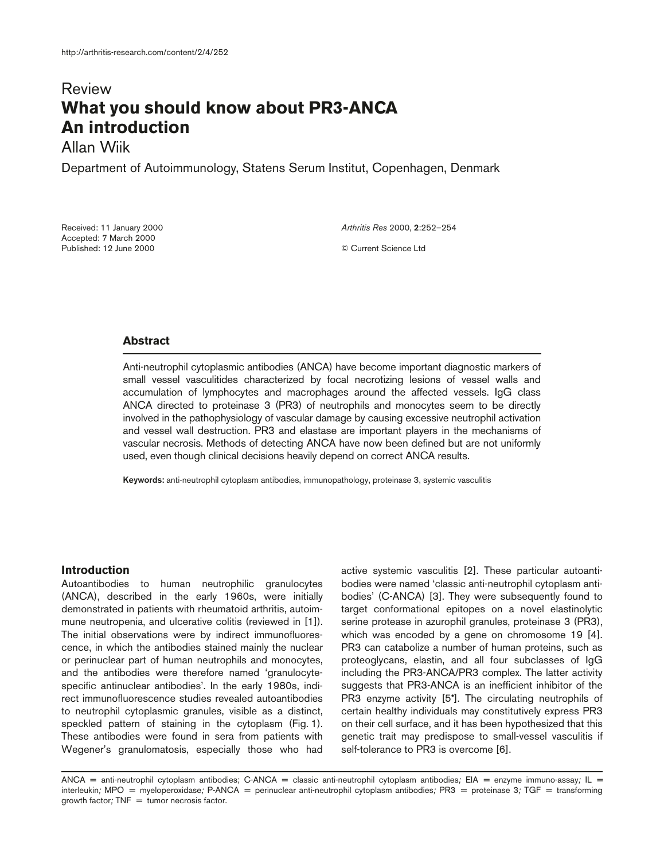# Review **What you should know about PR3-ANCA An introduction**

Allan Wiik

Department of Autoimmunology, Statens Serum Institut, Copenhagen, Denmark

Received: 11 January 2000 Accepted: 7 March 2000 Published: 12 June 2000

*Arthritis Res* 2000, **2**:252–254

© Current Science Ltd

# **Abstract**

Anti-neutrophil cytoplasmic antibodies (ANCA) have become important diagnostic markers of small vessel vasculitides characterized by focal necrotizing lesions of vessel walls and accumulation of lymphocytes and macrophages around the affected vessels. IgG class ANCA directed to proteinase 3 (PR3) of neutrophils and monocytes seem to be directly involved in the pathophysiology of vascular damage by causing excessive neutrophil activation and vessel wall destruction. PR3 and elastase are important players in the mechanisms of vascular necrosis. Methods of detecting ANCA have now been defined but are not uniformly used, even though clinical decisions heavily depend on correct ANCA results.

**Keywords:** anti-neutrophil cytoplasm antibodies, immunopathology, proteinase 3, systemic vasculitis

## **Introduction**

Autoantibodies to human neutrophilic granulocytes (ANCA), described in the early 1960s, were initially demonstrated in patients with rheumatoid arthritis, autoimmune neutropenia, and ulcerative colitis (reviewed in [1]). The initial observations were by indirect immunofluorescence, in which the antibodies stained mainly the nuclear or perinuclear part of human neutrophils and monocytes, and the antibodies were therefore named 'granulocytespecific antinuclear antibodies'. In the early 1980s, indirect immunofluorescence studies revealed autoantibodies to neutrophil cytoplasmic granules, visible as a distinct, speckled pattern of staining in the cytoplasm (Fig. 1). These antibodies were found in sera from patients with Wegener's granulomatosis, especially those who had

active systemic vasculitis [2]. These particular autoantibodies were named 'classic anti-neutrophil cytoplasm antibodies' (C-ANCA) [3]. They were subsequently found to target conformational epitopes on a novel elastinolytic serine protease in azurophil granules, proteinase 3 (PR3), which was encoded by a gene on chromosome 19 [4]. PR3 can catabolize a number of human proteins, such as proteoglycans, elastin, and all four subclasses of IgG including the PR3-ANCA/PR3 complex. The latter activity suggests that PR3-ANCA is an inefficient inhibitor of the PR3 enzyme activity [5<sup>\*</sup>]. The circulating neutrophils of certain healthy individuals may constitutively express PR3 on their cell surface, and it has been hypothesized that this genetic trait may predispose to small-vessel vasculitis if self-tolerance to PR3 is overcome [6].

ANCA = anti-neutrophil cytoplasm antibodies; C-ANCA = classic anti-neutrophil cytoplasm antibodies*;* EIA *=* enzyme immuno-assay*;* IL *=* interleukin*;* MPO *=* myeloperoxidase*;* P-ANCA *=* perinuclear anti-neutrophil cytoplasm antibodies*;* PR3 *=* proteinase 3*;* TGF *=* transforming growth factor*;* TNF *=* tumor necrosis factor.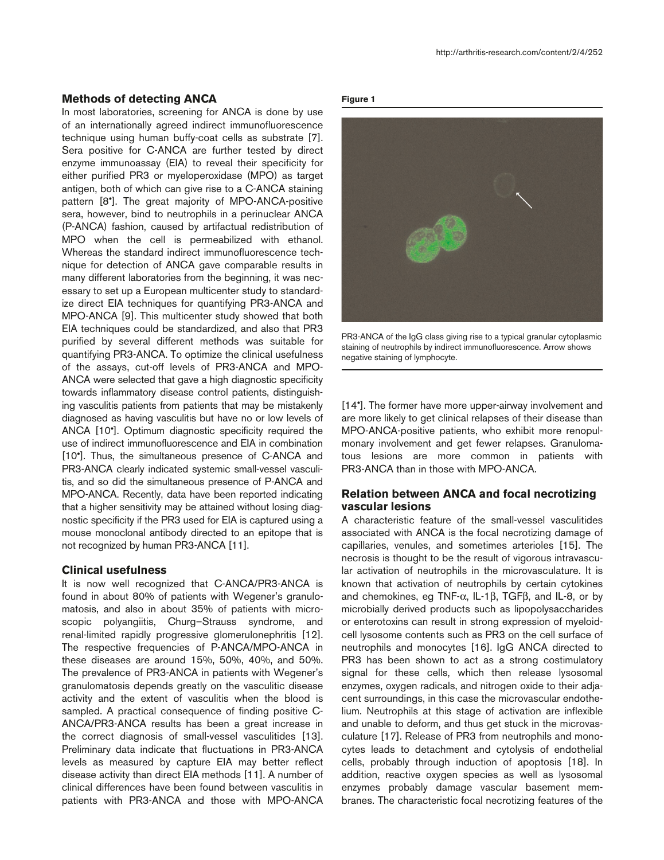## **Methods of detecting ANCA**

In most laboratories, screening for ANCA is done by use of an internationally agreed indirect immunofluorescence technique using human buffy-coat cells as substrate [7]. Sera positive for C-ANCA are further tested by direct enzyme immunoassay (EIA) to reveal their specificity for either purified PR3 or myeloperoxidase (MPO) as target antigen, both of which can give rise to a C-ANCA staining pattern [8•]. The great majority of MPO-ANCA-positive sera, however, bind to neutrophils in a perinuclear ANCA (P-ANCA) fashion, caused by artifactual redistribution of MPO when the cell is permeabilized with ethanol. Whereas the standard indirect immunofluorescence technique for detection of ANCA gave comparable results in many different laboratories from the beginning, it was necessary to set up a European multicenter study to standardize direct EIA techniques for quantifying PR3-ANCA and MPO-ANCA [9]. This multicenter study showed that both EIA techniques could be standardized, and also that PR3 purified by several different methods was suitable for quantifying PR3-ANCA. To optimize the clinical usefulness of the assays, cut-off levels of PR3-ANCA and MPO-ANCA were selected that gave a high diagnostic specificity towards inflammatory disease control patients, distinguishing vasculitis patients from patients that may be mistakenly diagnosed as having vasculitis but have no or low levels of ANCA [10•]. Optimum diagnostic specificity required the use of indirect immunofluorescence and EIA in combination [10•]. Thus, the simultaneous presence of C-ANCA and PR3-ANCA clearly indicated systemic small-vessel vasculitis, and so did the simultaneous presence of P-ANCA and MPO-ANCA. Recently, data have been reported indicating that a higher sensitivity may be attained without losing diagnostic specificity if the PR3 used for EIA is captured using a mouse monoclonal antibody directed to an epitope that is not recognized by human PR3-ANCA [11].

### **Clinical usefulness**

It is now well recognized that C-ANCA/PR3-ANCA is found in about 80% of patients with Wegener's granulomatosis, and also in about 35% of patients with microscopic polyangiitis, Churg–Strauss syndrome, and renal-limited rapidly progressive glomerulonephritis [12]. The respective frequencies of P-ANCA/MPO-ANCA in these diseases are around 15%, 50%, 40%, and 50%. The prevalence of PR3-ANCA in patients with Wegener's granulomatosis depends greatly on the vasculitic disease activity and the extent of vasculitis when the blood is sampled. A practical consequence of finding positive C-ANCA/PR3-ANCA results has been a great increase in the correct diagnosis of small-vessel vasculitides [13]. Preliminary data indicate that fluctuations in PR3-ANCA levels as measured by capture EIA may better reflect disease activity than direct EIA methods [11]. A number of clinical differences have been found between vasculitis in patients with PR3-ANCA and those with MPO-ANCA

#### **Figure 1**



PR3-ANCA of the IgG class giving rise to a typical granular cytoplasmic staining of neutrophils by indirect immunofluorescence. Arrow shows negative staining of lymphocyte.

[14•]. The former have more upper-airway involvement and are more likely to get clinical relapses of their disease than MPO-ANCA-positive patients, who exhibit more renopulmonary involvement and get fewer relapses. Granulomatous lesions are more common in patients with PR3-ANCA than in those with MPO-ANCA.

## **Relation between ANCA and focal necrotizing vascular lesions**

A characteristic feature of the small-vessel vasculitides associated with ANCA is the focal necrotizing damage of capillaries, venules, and sometimes arterioles [15]. The necrosis is thought to be the result of vigorous intravascular activation of neutrophils in the microvasculature. It is known that activation of neutrophils by certain cytokines and chemokines, eg TNF-α, IL-1β, TGFβ, and IL-8, or by microbially derived products such as lipopolysaccharides or enterotoxins can result in strong expression of myeloidcell lysosome contents such as PR3 on the cell surface of neutrophils and monocytes [16]. IgG ANCA directed to PR3 has been shown to act as a strong costimulatory signal for these cells, which then release lysosomal enzymes, oxygen radicals, and nitrogen oxide to their adjacent surroundings, in this case the microvascular endothelium. Neutrophils at this stage of activation are inflexible and unable to deform, and thus get stuck in the microvasculature [17]. Release of PR3 from neutrophils and monocytes leads to detachment and cytolysis of endothelial cells, probably through induction of apoptosis [18]. In addition, reactive oxygen species as well as lysosomal enzymes probably damage vascular basement membranes. The characteristic focal necrotizing features of the